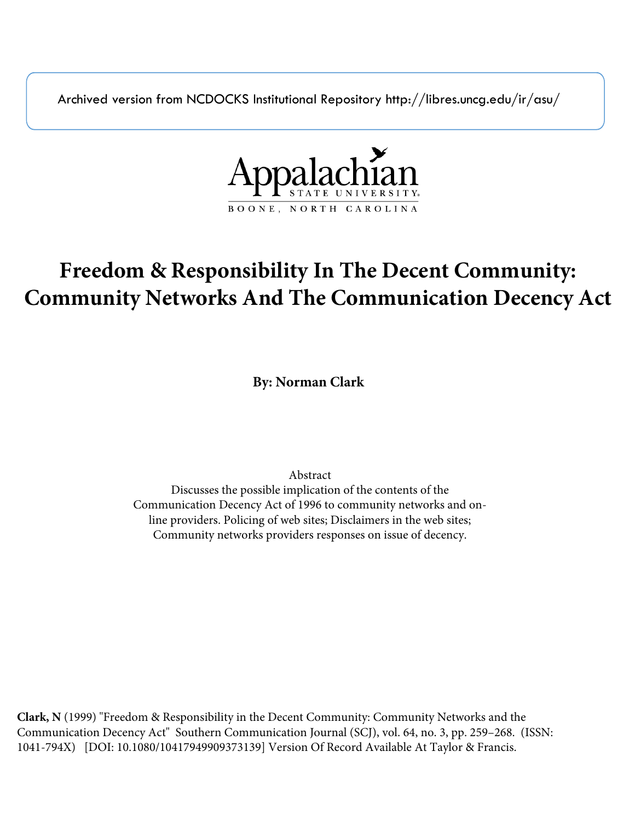Archived version from NCDOCKS Institutional Repository http://libres.uncg.edu/ir/asu/



# **Freedom & Responsibility In The Decent Community: Community Networks And The Communication Decency Act**

**By: Norman Clark**

Abstract

Discusses the possible implication of the contents of the Communication Decency Act of 1996 to community networks and online providers. Policing of web sites; Disclaimers in the web sites; Community networks providers responses on issue of decency.

**Clark, N** (1999) "Freedom & Responsibility in the Decent Community: Community Networks and the Communication Decency Act" Southern Communication Journal (SCJ), vol. 64, no. 3, pp. 259–268. (ISSN: 1041-794X) [DOI: 10.1080/10417949909373139] Version Of Record Available At Taylor & Francis.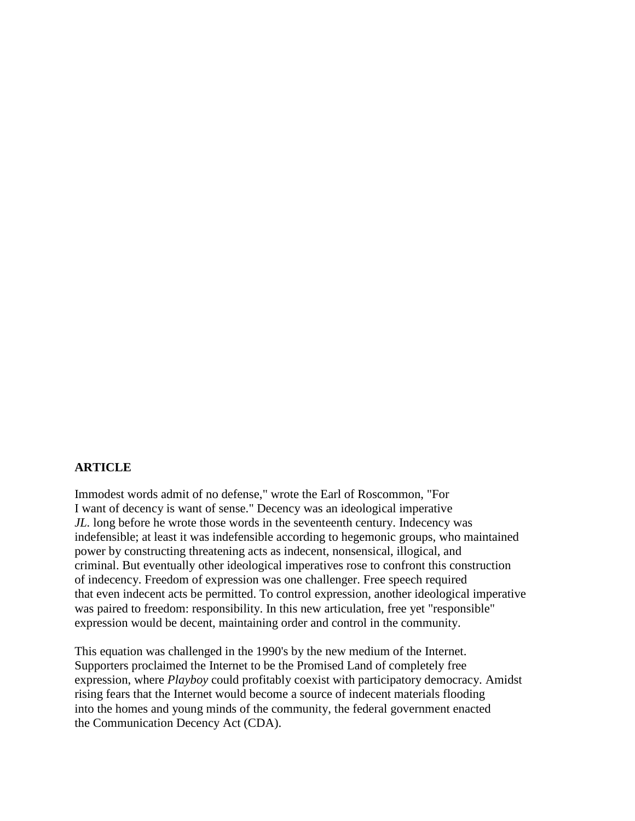#### **ARTICLE**

Immodest words admit of no defense," wrote the Earl of Roscommon, "For I want of decency is want of sense." Decency was an ideological imperative *JL*. long before he wrote those words in the seventeenth century. Indecency was indefensible; at least it was indefensible according to hegemonic groups, who maintained power by constructing threatening acts as indecent, nonsensical, illogical, and criminal. But eventually other ideological imperatives rose to confront this construction of indecency. Freedom of expression was one challenger. Free speech required that even indecent acts be permitted. To control expression, another ideological imperative was paired to freedom: responsibility. In this new articulation, free yet "responsible" expression would be decent, maintaining order and control in the community.

This equation was challenged in the 1990's by the new medium of the Internet. Supporters proclaimed the Internet to be the Promised Land of completely free expression, where *Playboy* could profitably coexist with participatory democracy. Amidst rising fears that the Internet would become a source of indecent materials flooding into the homes and young minds of the community, the federal government enacted the Communication Decency Act (CDA).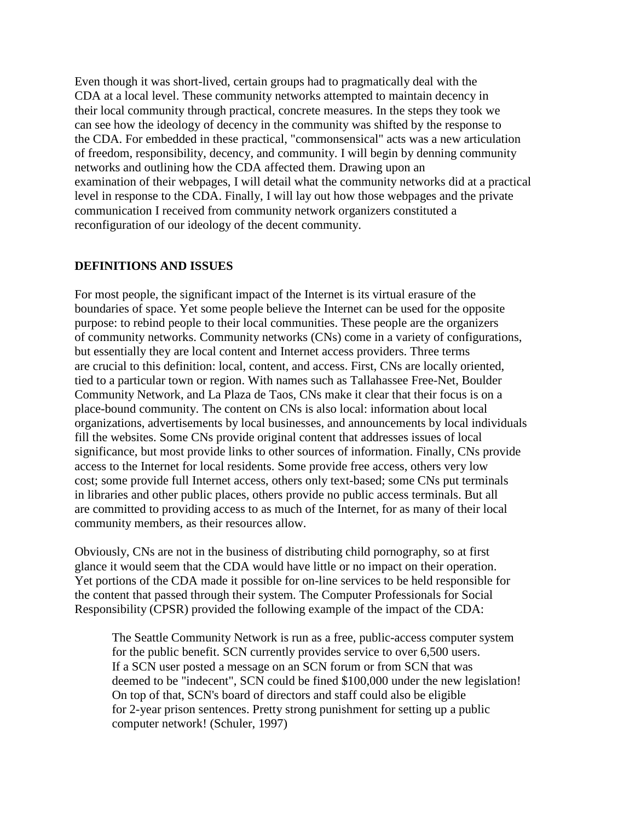Even though it was short-lived, certain groups had to pragmatically deal with the CDA at a local level. These community networks attempted to maintain decency in their local community through practical, concrete measures. In the steps they took we can see how the ideology of decency in the community was shifted by the response to the CDA. For embedded in these practical, "commonsensical" acts was a new articulation of freedom, responsibility, decency, and community. I will begin by denning community networks and outlining how the CDA affected them. Drawing upon an examination of their webpages, I will detail what the community networks did at a practical level in response to the CDA. Finally, I will lay out how those webpages and the private communication I received from community network organizers constituted a reconfiguration of our ideology of the decent community.

## **DEFINITIONS AND ISSUES**

For most people, the significant impact of the Internet is its virtual erasure of the boundaries of space. Yet some people believe the Internet can be used for the opposite purpose: to rebind people to their local communities. These people are the organizers of community networks. Community networks (CNs) come in a variety of configurations, but essentially they are local content and Internet access providers. Three terms are crucial to this definition: local, content, and access. First, CNs are locally oriented, tied to a particular town or region. With names such as Tallahassee Free-Net, Boulder Community Network, and La Plaza de Taos, CNs make it clear that their focus is on a place-bound community. The content on CNs is also local: information about local organizations, advertisements by local businesses, and announcements by local individuals fill the websites. Some CNs provide original content that addresses issues of local significance, but most provide links to other sources of information. Finally, CNs provide access to the Internet for local residents. Some provide free access, others very low cost; some provide full Internet access, others only text-based; some CNs put terminals in libraries and other public places, others provide no public access terminals. But all are committed to providing access to as much of the Internet, for as many of their local community members, as their resources allow.

Obviously, CNs are not in the business of distributing child pornography, so at first glance it would seem that the CDA would have little or no impact on their operation. Yet portions of the CDA made it possible for on-line services to be held responsible for the content that passed through their system. The Computer Professionals for Social Responsibility (CPSR) provided the following example of the impact of the CDA:

The Seattle Community Network is run as a free, public-access computer system for the public benefit. SCN currently provides service to over 6,500 users. If a SCN user posted a message on an SCN forum or from SCN that was deemed to be "indecent", SCN could be fined \$100,000 under the new legislation! On top of that, SCN's board of directors and staff could also be eligible for 2-year prison sentences. Pretty strong punishment for setting up a public computer network! (Schuler, 1997)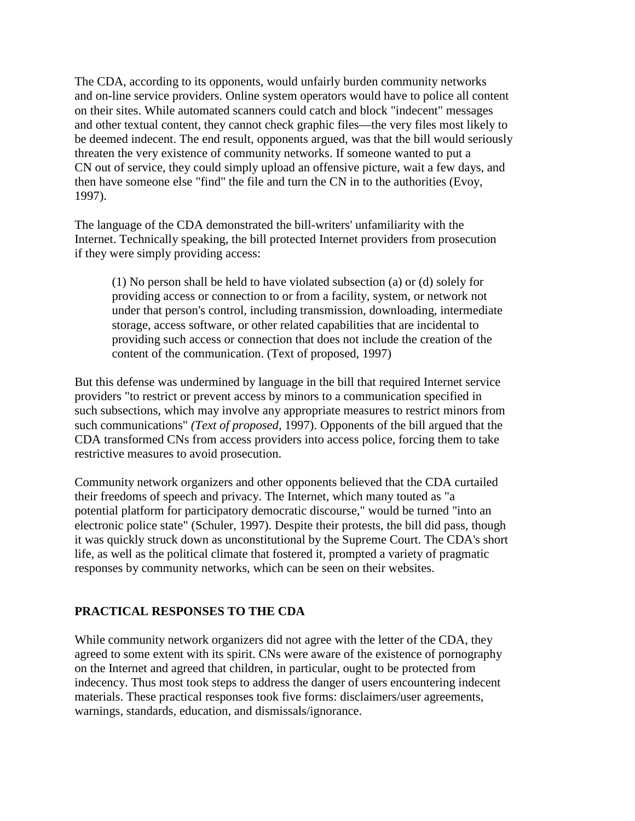The CDA, according to its opponents, would unfairly burden community networks and on-line service providers. Online system operators would have to police all content on their sites. While automated scanners could catch and block "indecent" messages and other textual content, they cannot check graphic files—the very files most likely to be deemed indecent. The end result, opponents argued, was that the bill would seriously threaten the very existence of community networks. If someone wanted to put a CN out of service, they could simply upload an offensive picture, wait a few days, and then have someone else "find" the file and turn the CN in to the authorities (Evoy, 1997).

The language of the CDA demonstrated the bill-writers' unfamiliarity with the Internet. Technically speaking, the bill protected Internet providers from prosecution if they were simply providing access:

(1) No person shall be held to have violated subsection (a) or (d) solely for providing access or connection to or from a facility, system, or network not under that person's control, including transmission, downloading, intermediate storage, access software, or other related capabilities that are incidental to providing such access or connection that does not include the creation of the content of the communication. (Text of proposed, 1997)

But this defense was undermined by language in the bill that required Internet service providers "to restrict or prevent access by minors to a communication specified in such subsections, which may involve any appropriate measures to restrict minors from such communications" *(Text of proposed,* 1997). Opponents of the bill argued that the CDA transformed CNs from access providers into access police, forcing them to take restrictive measures to avoid prosecution.

Community network organizers and other opponents believed that the CDA curtailed their freedoms of speech and privacy. The Internet, which many touted as "a potential platform for participatory democratic discourse," would be turned "into an electronic police state" (Schuler, 1997). Despite their protests, the bill did pass, though it was quickly struck down as unconstitutional by the Supreme Court. The CDA's short life, as well as the political climate that fostered it, prompted a variety of pragmatic responses by community networks, which can be seen on their websites.

## **PRACTICAL RESPONSES TO THE CDA**

While community network organizers did not agree with the letter of the CDA, they agreed to some extent with its spirit. CNs were aware of the existence of pornography on the Internet and agreed that children, in particular, ought to be protected from indecency. Thus most took steps to address the danger of users encountering indecent materials. These practical responses took five forms: disclaimers/user agreements, warnings, standards, education, and dismissals/ignorance.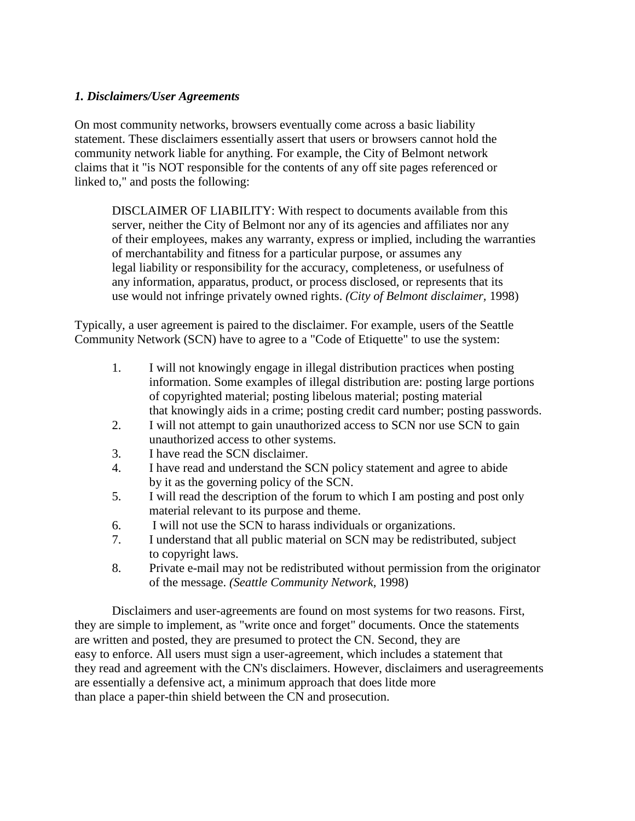## *1. Disclaimers/User Agreements*

On most community networks, browsers eventually come across a basic liability statement. These disclaimers essentially assert that users or browsers cannot hold the community network liable for anything. For example, the City of Belmont network claims that it "is NOT responsible for the contents of any off site pages referenced or linked to," and posts the following:

DISCLAIMER OF LIABILITY: With respect to documents available from this server, neither the City of Belmont nor any of its agencies and affiliates nor any of their employees, makes any warranty, express or implied, including the warranties of merchantability and fitness for a particular purpose, or assumes any legal liability or responsibility for the accuracy, completeness, or usefulness of any information, apparatus, product, or process disclosed, or represents that its use would not infringe privately owned rights. *(City of Belmont disclaimer,* 1998)

Typically, a user agreement is paired to the disclaimer. For example, users of the Seattle Community Network (SCN) have to agree to a "Code of Etiquette" to use the system:

- 1. I will not knowingly engage in illegal distribution practices when posting information. Some examples of illegal distribution are: posting large portions of copyrighted material; posting libelous material; posting material that knowingly aids in a crime; posting credit card number; posting passwords.
- 2. I will not attempt to gain unauthorized access to SCN nor use SCN to gain unauthorized access to other systems.
- 3. I have read the SCN disclaimer.
- 4. I have read and understand the SCN policy statement and agree to abide by it as the governing policy of the SCN.
- 5. I will read the description of the forum to which I am posting and post only material relevant to its purpose and theme.
- 6. I will not use the SCN to harass individuals or organizations.
- 7. I understand that all public material on SCN may be redistributed, subject to copyright laws.
- 8. Private e-mail may not be redistributed without permission from the originator of the message. *(Seattle Community Network,* 1998)

Disclaimers and user-agreements are found on most systems for two reasons. First, they are simple to implement, as "write once and forget" documents. Once the statements are written and posted, they are presumed to protect the CN. Second, they are easy to enforce. All users must sign a user-agreement, which includes a statement that they read and agreement with the CN's disclaimers. However, disclaimers and useragreements are essentially a defensive act, a minimum approach that does litde more than place a paper-thin shield between the CN and prosecution.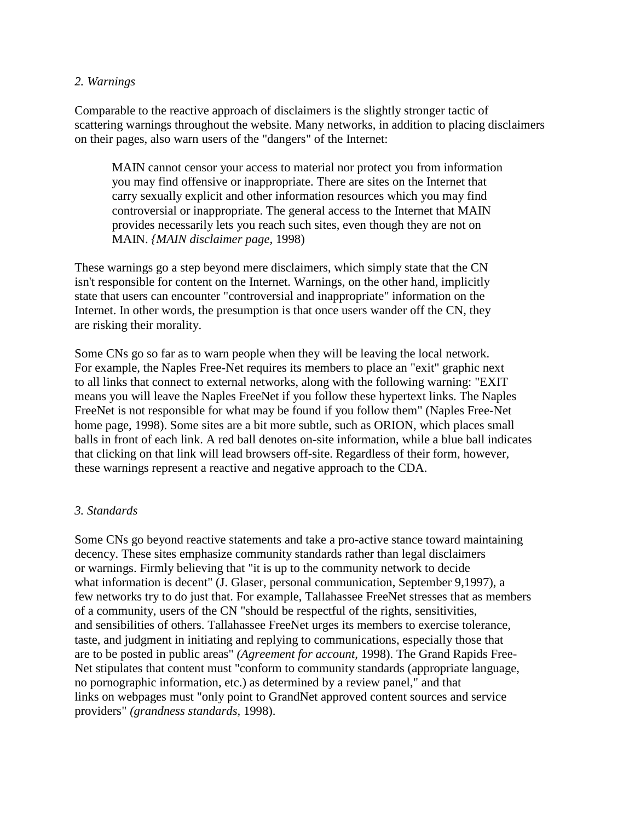#### *2. Warnings*

Comparable to the reactive approach of disclaimers is the slightly stronger tactic of scattering warnings throughout the website. Many networks, in addition to placing disclaimers on their pages, also warn users of the "dangers" of the Internet:

MAIN cannot censor your access to material nor protect you from information you may find offensive or inappropriate. There are sites on the Internet that carry sexually explicit and other information resources which you may find controversial or inappropriate. The general access to the Internet that MAIN provides necessarily lets you reach such sites, even though they are not on MAIN. *{MAIN disclaimer page,* 1998)

These warnings go a step beyond mere disclaimers, which simply state that the CN isn't responsible for content on the Internet. Warnings, on the other hand, implicitly state that users can encounter "controversial and inappropriate" information on the Internet. In other words, the presumption is that once users wander off the CN, they are risking their morality.

Some CNs go so far as to warn people when they will be leaving the local network. For example, the Naples Free-Net requires its members to place an "exit" graphic next to all links that connect to external networks, along with the following warning: "EXIT means you will leave the Naples FreeNet if you follow these hypertext links. The Naples FreeNet is not responsible for what may be found if you follow them" (Naples Free-Net home page, 1998). Some sites are a bit more subtle, such as ORION, which places small balls in front of each link. A red ball denotes on-site information, while a blue ball indicates that clicking on that link will lead browsers off-site. Regardless of their form, however, these warnings represent a reactive and negative approach to the CDA.

## *3. Standards*

Some CNs go beyond reactive statements and take a pro-active stance toward maintaining decency. These sites emphasize community standards rather than legal disclaimers or warnings. Firmly believing that "it is up to the community network to decide what information is decent" (J. Glaser, personal communication, September 9,1997), a few networks try to do just that. For example, Tallahassee FreeNet stresses that as members of a community, users of the CN "should be respectful of the rights, sensitivities, and sensibilities of others. Tallahassee FreeNet urges its members to exercise tolerance, taste, and judgment in initiating and replying to communications, especially those that are to be posted in public areas" *(Agreement for account,* 1998). The Grand Rapids Free-Net stipulates that content must "conform to community standards (appropriate language, no pornographic information, etc.) as determined by a review panel," and that links on webpages must "only point to GrandNet approved content sources and service providers" *(grandness standards,* 1998).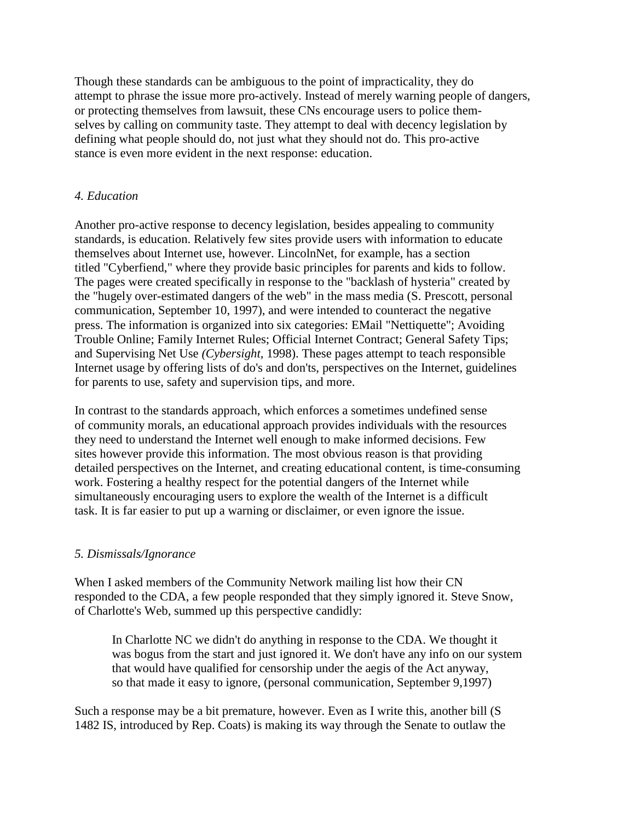Though these standards can be ambiguous to the point of impracticality, they do attempt to phrase the issue more pro-actively. Instead of merely warning people of dangers, or protecting themselves from lawsuit, these CNs encourage users to police themselves by calling on community taste. They attempt to deal with decency legislation by defining what people should do, not just what they should not do. This pro-active stance is even more evident in the next response: education.

#### *4. Education*

Another pro-active response to decency legislation, besides appealing to community standards, is education. Relatively few sites provide users with information to educate themselves about Internet use, however. LincolnNet, for example, has a section titled "Cyberfiend," where they provide basic principles for parents and kids to follow. The pages were created specifically in response to the "backlash of hysteria" created by the "hugely over-estimated dangers of the web" in the mass media (S. Prescott, personal communication, September 10, 1997), and were intended to counteract the negative press. The information is organized into six categories: EMail "Nettiquette"; Avoiding Trouble Online; Family Internet Rules; Official Internet Contract; General Safety Tips; and Supervising Net Use *(Cybersight,* 1998). These pages attempt to teach responsible Internet usage by offering lists of do's and don'ts, perspectives on the Internet, guidelines for parents to use, safety and supervision tips, and more.

In contrast to the standards approach, which enforces a sometimes undefined sense of community morals, an educational approach provides individuals with the resources they need to understand the Internet well enough to make informed decisions. Few sites however provide this information. The most obvious reason is that providing detailed perspectives on the Internet, and creating educational content, is time-consuming work. Fostering a healthy respect for the potential dangers of the Internet while simultaneously encouraging users to explore the wealth of the Internet is a difficult task. It is far easier to put up a warning or disclaimer, or even ignore the issue.

## *5. Dismissals/Ignorance*

When I asked members of the Community Network mailing list how their CN responded to the CDA, a few people responded that they simply ignored it. Steve Snow, of Charlotte's Web, summed up this perspective candidly:

In Charlotte NC we didn't do anything in response to the CDA. We thought it was bogus from the start and just ignored it. We don't have any info on our system that would have qualified for censorship under the aegis of the Act anyway, so that made it easy to ignore, (personal communication, September 9,1997)

Such a response may be a bit premature, however. Even as I write this, another bill (S 1482 IS, introduced by Rep. Coats) is making its way through the Senate to outlaw the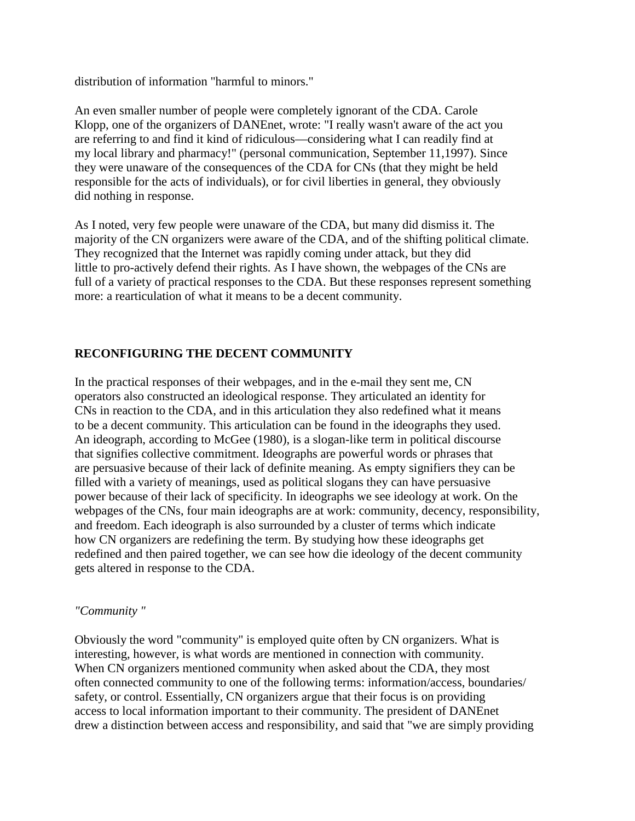distribution of information "harmful to minors."

An even smaller number of people were completely ignorant of the CDA. Carole Klopp, one of the organizers of DANEnet, wrote: "I really wasn't aware of the act you are referring to and find it kind of ridiculous—considering what I can readily find at my local library and pharmacy!" (personal communication, September 11,1997). Since they were unaware of the consequences of the CDA for CNs (that they might be held responsible for the acts of individuals), or for civil liberties in general, they obviously did nothing in response.

As I noted, very few people were unaware of the CDA, but many did dismiss it. The majority of the CN organizers were aware of the CDA, and of the shifting political climate. They recognized that the Internet was rapidly coming under attack, but they did little to pro-actively defend their rights. As I have shown, the webpages of the CNs are full of a variety of practical responses to the CDA. But these responses represent something more: a rearticulation of what it means to be a decent community.

## **RECONFIGURING THE DECENT COMMUNITY**

In the practical responses of their webpages, and in the e-mail they sent me, CN operators also constructed an ideological response. They articulated an identity for CNs in reaction to the CDA, and in this articulation they also redefined what it means to be a decent community. This articulation can be found in the ideographs they used. An ideograph, according to McGee (1980), is a slogan-like term in political discourse that signifies collective commitment. Ideographs are powerful words or phrases that are persuasive because of their lack of definite meaning. As empty signifiers they can be filled with a variety of meanings, used as political slogans they can have persuasive power because of their lack of specificity. In ideographs we see ideology at work. On the webpages of the CNs, four main ideographs are at work: community, decency, responsibility, and freedom. Each ideograph is also surrounded by a cluster of terms which indicate how CN organizers are redefining the term. By studying how these ideographs get redefined and then paired together, we can see how die ideology of the decent community gets altered in response to the CDA.

## *"Community "*

Obviously the word "community" is employed quite often by CN organizers. What is interesting, however, is what words are mentioned in connection with community. When CN organizers mentioned community when asked about the CDA, they most often connected community to one of the following terms: information/access, boundaries/ safety, or control. Essentially, CN organizers argue that their focus is on providing access to local information important to their community. The president of DANEnet drew a distinction between access and responsibility, and said that "we are simply providing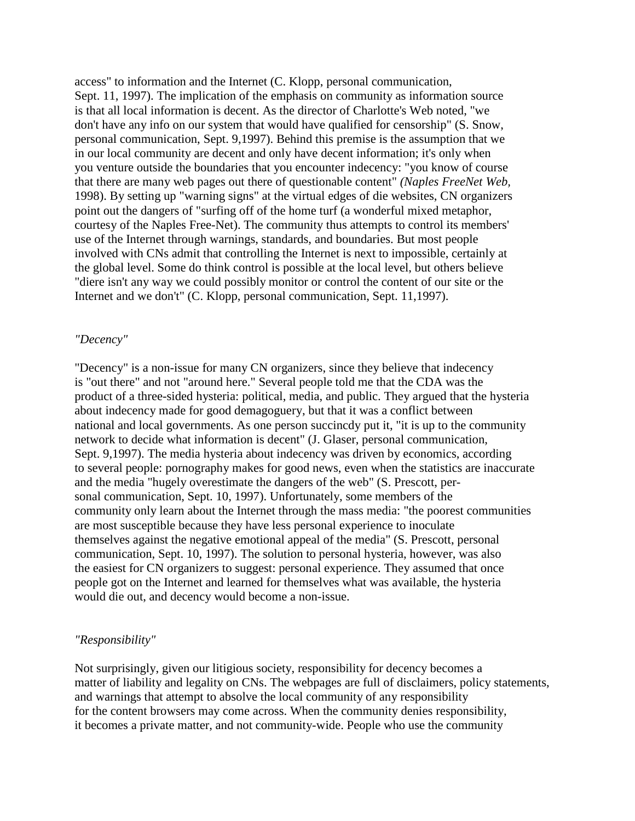access" to information and the Internet (C. Klopp, personal communication, Sept. 11, 1997). The implication of the emphasis on community as information source is that all local information is decent. As the director of Charlotte's Web noted, "we don't have any info on our system that would have qualified for censorship" (S. Snow, personal communication, Sept. 9,1997). Behind this premise is the assumption that we in our local community are decent and only have decent information; it's only when you venture outside the boundaries that you encounter indecency: "you know of course that there are many web pages out there of questionable content" *(Naples FreeNet Web,* 1998). By setting up "warning signs" at the virtual edges of die websites, CN organizers point out the dangers of "surfing off of the home turf (a wonderful mixed metaphor, courtesy of the Naples Free-Net). The community thus attempts to control its members' use of the Internet through warnings, standards, and boundaries. But most people involved with CNs admit that controlling the Internet is next to impossible, certainly at the global level. Some do think control is possible at the local level, but others believe "diere isn't any way we could possibly monitor or control the content of our site or the Internet and we don't" (C. Klopp, personal communication, Sept. 11,1997).

#### *"Decency"*

"Decency" is a non-issue for many CN organizers, since they believe that indecency is "out there" and not "around here." Several people told me that the CDA was the product of a three-sided hysteria: political, media, and public. They argued that the hysteria about indecency made for good demagoguery, but that it was a conflict between national and local governments. As one person succincdy put it, "it is up to the community network to decide what information is decent" (J. Glaser, personal communication, Sept. 9,1997). The media hysteria about indecency was driven by economics, according to several people: pornography makes for good news, even when the statistics are inaccurate and the media "hugely overestimate the dangers of the web" (S. Prescott, personal communication, Sept. 10, 1997). Unfortunately, some members of the community only learn about the Internet through the mass media: "the poorest communities are most susceptible because they have less personal experience to inoculate themselves against the negative emotional appeal of the media" (S. Prescott, personal communication, Sept. 10, 1997). The solution to personal hysteria, however, was also the easiest for CN organizers to suggest: personal experience. They assumed that once people got on the Internet and learned for themselves what was available, the hysteria would die out, and decency would become a non-issue.

#### *"Responsibility"*

Not surprisingly, given our litigious society, responsibility for decency becomes a matter of liability and legality on CNs. The webpages are full of disclaimers, policy statements, and warnings that attempt to absolve the local community of any responsibility for the content browsers may come across. When the community denies responsibility, it becomes a private matter, and not community-wide. People who use the community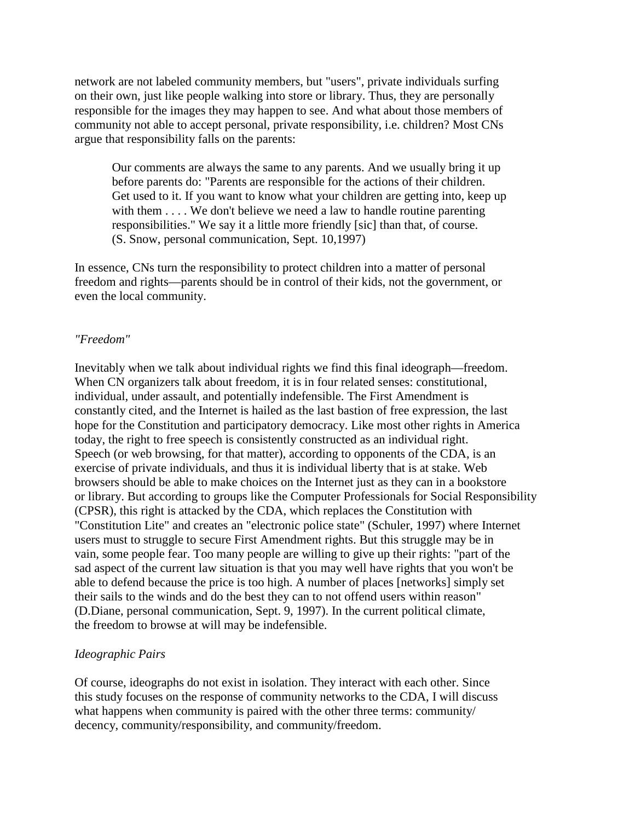network are not labeled community members, but "users", private individuals surfing on their own, just like people walking into store or library. Thus, they are personally responsible for the images they may happen to see. And what about those members of community not able to accept personal, private responsibility, i.e. children? Most CNs argue that responsibility falls on the parents:

Our comments are always the same to any parents. And we usually bring it up before parents do: "Parents are responsible for the actions of their children. Get used to it. If you want to know what your children are getting into, keep up with them . . . . We don't believe we need a law to handle routine parenting responsibilities." We say it a little more friendly [sic] than that, of course. (S. Snow, personal communication, Sept. 10,1997)

In essence, CNs turn the responsibility to protect children into a matter of personal freedom and rights—parents should be in control of their kids, not the government, or even the local community.

## *"Freedom"*

Inevitably when we talk about individual rights we find this final ideograph—freedom. When CN organizers talk about freedom, it is in four related senses: constitutional, individual, under assault, and potentially indefensible. The First Amendment is constantly cited, and the Internet is hailed as the last bastion of free expression, the last hope for the Constitution and participatory democracy. Like most other rights in America today, the right to free speech is consistently constructed as an individual right. Speech (or web browsing, for that matter), according to opponents of the CDA, is an exercise of private individuals, and thus it is individual liberty that is at stake. Web browsers should be able to make choices on the Internet just as they can in a bookstore or library. But according to groups like the Computer Professionals for Social Responsibility (CPSR), this right is attacked by the CDA, which replaces the Constitution with "Constitution Lite" and creates an "electronic police state" (Schuler, 1997) where Internet users must to struggle to secure First Amendment rights. But this struggle may be in vain, some people fear. Too many people are willing to give up their rights: "part of the sad aspect of the current law situation is that you may well have rights that you won't be able to defend because the price is too high. A number of places [networks] simply set their sails to the winds and do the best they can to not offend users within reason" (D.Diane, personal communication, Sept. 9, 1997). In the current political climate, the freedom to browse at will may be indefensible.

## *Ideographic Pairs*

Of course, ideographs do not exist in isolation. They interact with each other. Since this study focuses on the response of community networks to the CDA, I will discuss what happens when community is paired with the other three terms: community/ decency, community/responsibility, and community/freedom.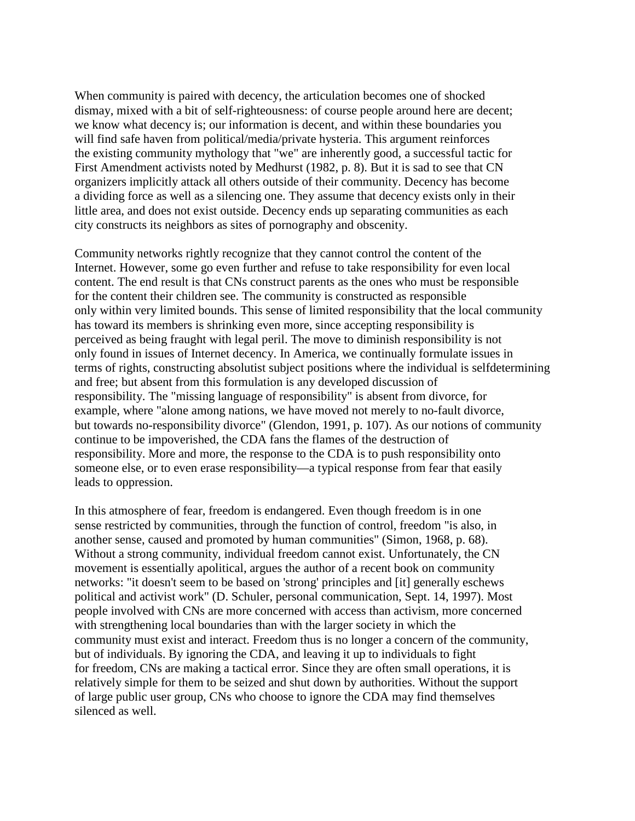When community is paired with decency, the articulation becomes one of shocked dismay, mixed with a bit of self-righteousness: of course people around here are decent; we know what decency is; our information is decent, and within these boundaries you will find safe haven from political/media/private hysteria. This argument reinforces the existing community mythology that "we" are inherently good, a successful tactic for First Amendment activists noted by Medhurst (1982, p. 8). But it is sad to see that CN organizers implicitly attack all others outside of their community. Decency has become a dividing force as well as a silencing one. They assume that decency exists only in their little area, and does not exist outside. Decency ends up separating communities as each city constructs its neighbors as sites of pornography and obscenity.

Community networks rightly recognize that they cannot control the content of the Internet. However, some go even further and refuse to take responsibility for even local content. The end result is that CNs construct parents as the ones who must be responsible for the content their children see. The community is constructed as responsible only within very limited bounds. This sense of limited responsibility that the local community has toward its members is shrinking even more, since accepting responsibility is perceived as being fraught with legal peril. The move to diminish responsibility is not only found in issues of Internet decency. In America, we continually formulate issues in terms of rights, constructing absolutist subject positions where the individual is selfdetermining and free; but absent from this formulation is any developed discussion of responsibility. The "missing language of responsibility" is absent from divorce, for example, where "alone among nations, we have moved not merely to no-fault divorce, but towards no-responsibility divorce" (Glendon, 1991, p. 107). As our notions of community continue to be impoverished, the CDA fans the flames of the destruction of responsibility. More and more, the response to the CDA is to push responsibility onto someone else, or to even erase responsibility—a typical response from fear that easily leads to oppression.

In this atmosphere of fear, freedom is endangered. Even though freedom is in one sense restricted by communities, through the function of control, freedom "is also, in another sense, caused and promoted by human communities" (Simon, 1968, p. 68). Without a strong community, individual freedom cannot exist. Unfortunately, the CN movement is essentially apolitical, argues the author of a recent book on community networks: "it doesn't seem to be based on 'strong' principles and [it] generally eschews political and activist work" (D. Schuler, personal communication, Sept. 14, 1997). Most people involved with CNs are more concerned with access than activism, more concerned with strengthening local boundaries than with the larger society in which the community must exist and interact. Freedom thus is no longer a concern of the community, but of individuals. By ignoring the CDA, and leaving it up to individuals to fight for freedom, CNs are making a tactical error. Since they are often small operations, it is relatively simple for them to be seized and shut down by authorities. Without the support of large public user group, CNs who choose to ignore the CDA may find themselves silenced as well.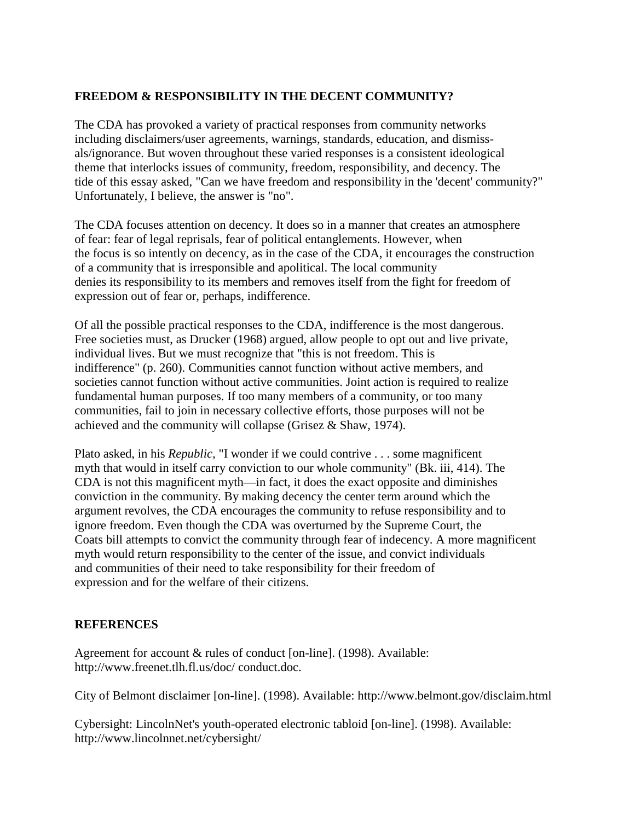## **FREEDOM & RESPONSIBILITY IN THE DECENT COMMUNITY?**

The CDA has provoked a variety of practical responses from community networks including disclaimers/user agreements, warnings, standards, education, and dismissals/ignorance. But woven throughout these varied responses is a consistent ideological theme that interlocks issues of community, freedom, responsibility, and decency. The tide of this essay asked, "Can we have freedom and responsibility in the 'decent' community?" Unfortunately, I believe, the answer is "no".

The CDA focuses attention on decency. It does so in a manner that creates an atmosphere of fear: fear of legal reprisals, fear of political entanglements. However, when the focus is so intently on decency, as in the case of the CDA, it encourages the construction of a community that is irresponsible and apolitical. The local community denies its responsibility to its members and removes itself from the fight for freedom of expression out of fear or, perhaps, indifference.

Of all the possible practical responses to the CDA, indifference is the most dangerous. Free societies must, as Drucker (1968) argued, allow people to opt out and live private, individual lives. But we must recognize that "this is not freedom. This is indifference" (p. 260). Communities cannot function without active members, and societies cannot function without active communities. Joint action is required to realize fundamental human purposes. If too many members of a community, or too many communities, fail to join in necessary collective efforts, those purposes will not be achieved and the community will collapse (Grisez & Shaw, 1974).

Plato asked, in his *Republic,* "I wonder if we could contrive . . . some magnificent myth that would in itself carry conviction to our whole community" (Bk. iii, 414). The CDA is not this magnificent myth—in fact, it does the exact opposite and diminishes conviction in the community. By making decency the center term around which the argument revolves, the CDA encourages the community to refuse responsibility and to ignore freedom. Even though the CDA was overturned by the Supreme Court, the Coats bill attempts to convict the community through fear of indecency. A more magnificent myth would return responsibility to the center of the issue, and convict individuals and communities of their need to take responsibility for their freedom of expression and for the welfare of their citizens.

## **REFERENCES**

Agreement for account & rules of conduct [on-line]. (1998). Available: http://www.freenet.tlh.fl.us/doc/ conduct.doc.

City of Belmont disclaimer [on-line]. (1998). Available: http://www.belmont.gov/disclaim.html

Cybersight: LincolnNet's youth-operated electronic tabloid [on-line]. (1998). Available: http://www.lincolnnet.net/cybersight/